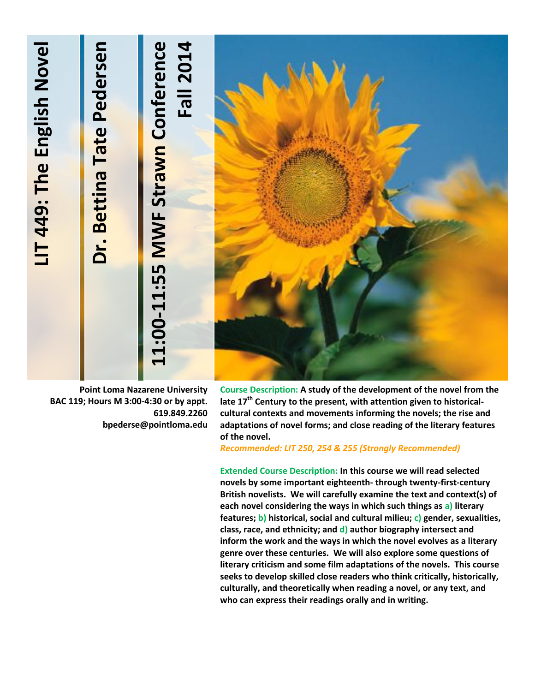# **-11:55 MWF Strawn Conference**  11:00-11:55 MWF Strawn Conference **4LIT 449: The English Novel Dr. Bettina Tate Pedersen** LIT 449: The English Novel Dr. Bettina Tate Pedersen **Fall 201**

**Point Loma Nazarene University BAC 119; Hours M 3:00-4:30 or by appt. 619.849.2260 bpederse@pointloma.edu**

**Course Description: A study of the development of the novel from the late 17th Century to the present, with attention given to historicalcultural contexts and movements informing the novels; the rise and adaptations of novel forms; and close reading of the literary features of the novel.**

*Recommended: LIT 250, 254 & 255 (Strongly Recommended)*

**Extended Course Description: In this course we will read selected novels by some important eighteenth- through twenty-first-century British novelists. We will carefully examine the text and context(s) of each novel considering the ways in which such things as a) literary features; b) historical, social and cultural milieu; c) gender, sexualities, class, race, and ethnicity; and d) author biography intersect and inform the work and the ways in which the novel evolves as a literary genre over these centuries. We will also explore some questions of literary criticism and some film adaptations of the novels. This course seeks to develop skilled close readers who think critically, historically, culturally, and theoretically when reading a novel, or any text, and who can express their readings orally and in writing.**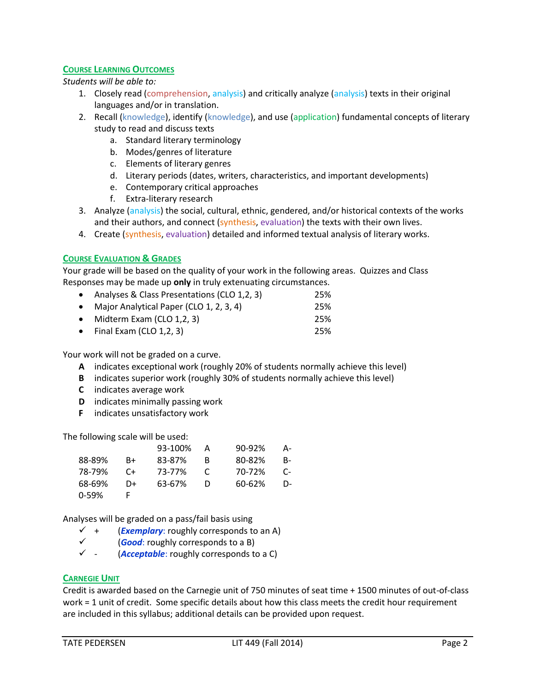## **COURSE LEARNING OUTCOMES**

*Students will be able to:*

- 1. Closely read (comprehension, analysis) and critically analyze (analysis) texts in their original languages and/or in translation.
- 2. Recall (knowledge), identify (knowledge), and use (application) fundamental concepts of literary study to read and discuss texts
	- a. Standard literary terminology
	- b. Modes/genres of literature
	- c. Elements of literary genres
	- d. Literary periods (dates, writers, characteristics, and important developments)
	- e. Contemporary critical approaches
	- f. Extra-literary research
- 3. Analyze (analysis) the social, cultural, ethnic, gendered, and/or historical contexts of the works and their authors, and connect (synthesis, evaluation) the texts with their own lives.
- 4. Create (synthesis, evaluation) detailed and informed textual analysis of literary works.

## **COURSE EVALUATION & GRADES**

Your grade will be based on the quality of your work in the following areas. Quizzes and Class Responses may be made up **only** in truly extenuating circumstances.

| • Analyses & Class Presentations (CLO 1,2, 3) | 25% |
|-----------------------------------------------|-----|
| • Major Analytical Paper (CLO 1, 2, 3, 4)     | 25% |
| • Midterm Exam (CLO $1,2,3$ )                 | 25% |
| • Final Exam (CLO $1,2,3$ )                   | 25% |

Your work will not be graded on a curve.

- **A** indicates exceptional work (roughly 20% of students normally achieve this level)
- **B** indicates superior work (roughly 30% of students normally achieve this level)
- **C** indicates average work
- **D** indicates minimally passing work
- **F** indicates unsatisfactory work

The following scale will be used:

|        |      | 93-100% | Α | 90-92% | A-        |
|--------|------|---------|---|--------|-----------|
| 88-89% | $B+$ | 83-87%  | B | 80-82% | B-        |
| 78-79% | - C+ | 73-77%  | C | 70-72% | $C_{\Xi}$ |
| 68-69% | D+   | 63-67%  | Ð | 60-62% | D-        |
| 0-59%  |      |         |   |        |           |

Analyses will be graded on a pass/fail basis using

- $\checkmark$  + (*Exemplary*: roughly corresponds to an A)
- <del>✓</del> (*Good***: roughly corresponds to a B**)<br>✓ (*Acceptable: roughly corresponds to*
- (*Acceptable*: roughly corresponds to a C)

## **CARNEGIE UNIT**

Credit is awarded based on the Carnegie unit of 750 minutes of seat time + 1500 minutes of out-of-class work = 1 unit of credit. Some specific details about how this class meets the credit hour requirement are included in this syllabus; additional details can be provided upon request.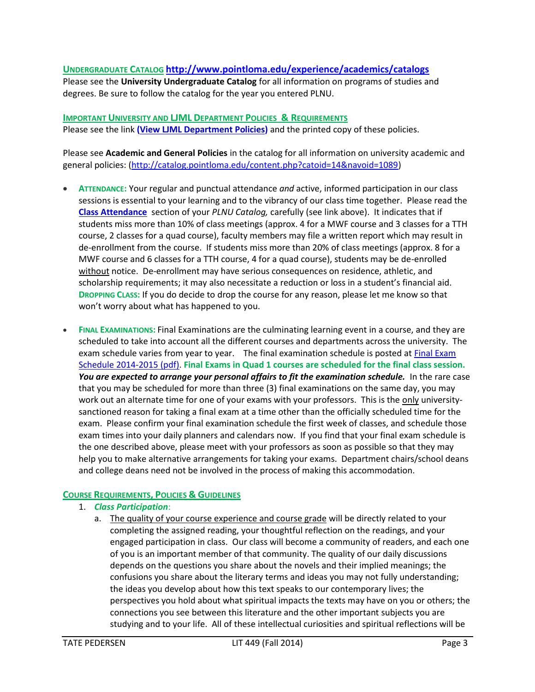## **UNDERGRADUATE CATALOG <http://www.pointloma.edu/experience/academics/catalogs>**

Please see the **University Undergraduate Catalog** for all information on programs of studies and degrees. Be sure to follow the catalog for the year you entered PLNU.

### **IMPORTANT UNIVERSITY AND LJML DEPARTMENT POLICIES & REQUIREMENTS**

Please see the link **(View LJML [Department](http://www.pointloma.edu/sites/default/files/filemanager/Literature_Journalism__Modern_Languages/LJML_Department_Syllabus_Statments_final_1.docx) Policies)** and the printed copy of these policies.

Please see **Academic and General Policies** in the catalog for all information on university academic and general policies: [\(http://catalog.pointloma.edu/content.php?catoid=14&navoid=1089\)](http://catalog.pointloma.edu/content.php?catoid=14&navoid=1089)

- **ATTENDANCE:** Your regular and punctual attendance *and* active, informed participation in our class sessions is essential to your learning and to the vibrancy of our class time together. Please read the **[Class Attendance](http://catalog.pointloma.edu/content.php?catoid=14&navoid=1089#Class_Attendance)** section of your *PLNU Catalog,* carefully (see link above). It indicates that if students miss more than 10% of class meetings (approx. 4 for a MWF course and 3 classes for a TTH course, 2 classes for a quad course), faculty members may file a written report which may result in de-enrollment from the course. If students miss more than 20% of class meetings (approx. 8 for a MWF course and 6 classes for a TTH course, 4 for a quad course), students may be de-enrolled without notice. De-enrollment may have serious consequences on residence, athletic, and scholarship requirements; it may also necessitate a reduction or loss in a student's financial aid. **DROPPING CLASS:** If you do decide to drop the course for any reason, please let me know so that won't worry about what has happened to you.
- **FINAL EXAMINATIONS:** Final Examinations are the culminating learning event in a course, and they are scheduled to take into account all the different courses and departments across the university. The exam schedule varies from year to year. The final examination schedule is posted at Final [Exam](http://www.pointloma.edu/sites/default/files/filemanager/Academic_Affairs/Calendars/Final_Exam_Schedule_2014-2015.pdf) Schedule [2014-2015](http://www.pointloma.edu/sites/default/files/filemanager/Academic_Affairs/Calendars/Final_Exam_Schedule_2014-2015.pdf) (pdf). **Final Exams in Quad 1 courses are scheduled for the final class session.** *You are expected to arrange your personal affairs to fit the examination schedule.* In the rare case that you may be scheduled for more than three (3) final examinations on the same day, you may work out an alternate time for one of your exams with your professors. This is the only universitysanctioned reason for taking a final exam at a time other than the officially scheduled time for the exam. Please confirm your final examination schedule the first week of classes, and schedule those exam times into your daily planners and calendars now. If you find that your final exam schedule is the one described above, please meet with your professors as soon as possible so that they may help you to make alternative arrangements for taking your exams. Department chairs/school deans and college deans need not be involved in the process of making this accommodation.

# **COURSE REQUIREMENTS, POLICIES & GUIDELINES**

## 1. *Class Participation*:

a. The quality of your course experience and course grade will be directly related to your completing the assigned reading, your thoughtful reflection on the readings, and your engaged participation in class. Our class will become a community of readers, and each one of you is an important member of that community. The quality of our daily discussions depends on the questions you share about the novels and their implied meanings; the confusions you share about the literary terms and ideas you may not fully understanding; the ideas you develop about how this text speaks to our contemporary lives; the perspectives you hold about what spiritual impacts the texts may have on you or others; the connections you see between this literature and the other important subjects you are studying and to your life. All of these intellectual curiosities and spiritual reflections will be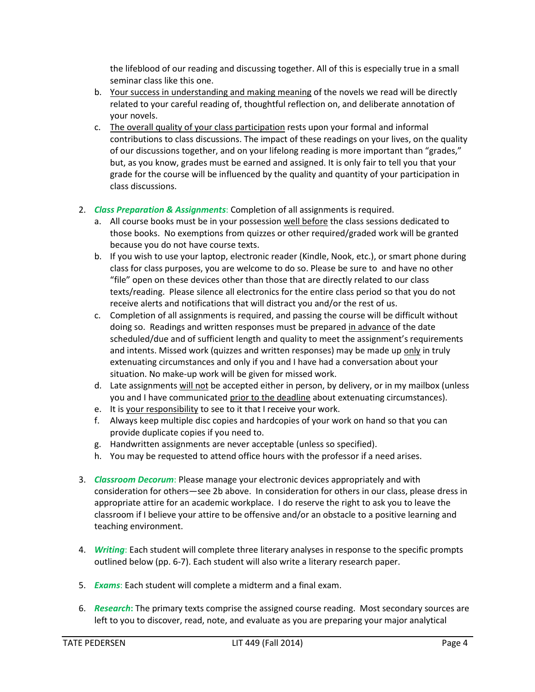the lifeblood of our reading and discussing together. All of this is especially true in a small seminar class like this one.

- b. Your success in understanding and making meaning of the novels we read will be directly related to your careful reading of, thoughtful reflection on, and deliberate annotation of your novels.
- c. The overall quality of your class participation rests upon your formal and informal contributions to class discussions. The impact of these readings on your lives, on the quality of our discussions together, and on your lifelong reading is more important than "grades," but, as you know, grades must be earned and assigned. It is only fair to tell you that your grade for the course will be influenced by the quality and quantity of your participation in class discussions.
- 2. *Class Preparation & Assignments*: Completion of all assignments is required.
	- a. All course books must be in your possession well before the class sessions dedicated to those books. No exemptions from quizzes or other required/graded work will be granted because you do not have course texts.
	- b. If you wish to use your laptop, electronic reader (Kindle, Nook, etc.), or smart phone during class for class purposes, you are welcome to do so. Please be sure to and have no other "file" open on these devices other than those that are directly related to our class texts/reading. Please silence all electronics for the entire class period so that you do not receive alerts and notifications that will distract you and/or the rest of us.
	- c. Completion of all assignments is required, and passing the course will be difficult without doing so. Readings and written responses must be prepared in advance of the date scheduled/due and of sufficient length and quality to meet the assignment's requirements and intents. Missed work (quizzes and written responses) may be made up only in truly extenuating circumstances and only if you and I have had a conversation about your situation. No make-up work will be given for missed work.
	- d. Late assignments will not be accepted either in person, by delivery, or in my mailbox (unless you and I have communicated prior to the deadline about extenuating circumstances).
	- e. It is your responsibility to see to it that I receive your work.
	- f. Always keep multiple disc copies and hardcopies of your work on hand so that you can provide duplicate copies if you need to.
	- g. Handwritten assignments are never acceptable (unless so specified).
	- h. You may be requested to attend office hours with the professor if a need arises.
- 3. *Classroom Decorum*: Please manage your electronic devices appropriately and with consideration for others—see 2b above. In consideration for others in our class, please dress in appropriate attire for an academic workplace. I do reserve the right to ask you to leave the classroom if I believe your attire to be offensive and/or an obstacle to a positive learning and teaching environment.
- 4. *Writing*: Each student will complete three literary analyses in response to the specific prompts outlined below (pp. 6-7). Each student will also write a literary research paper.
- 5. *Exams*: Each student will complete a midterm and a final exam.
- 6. *Research***:** The primary texts comprise the assigned course reading. Most secondary sources are left to you to discover, read, note, and evaluate as you are preparing your major analytical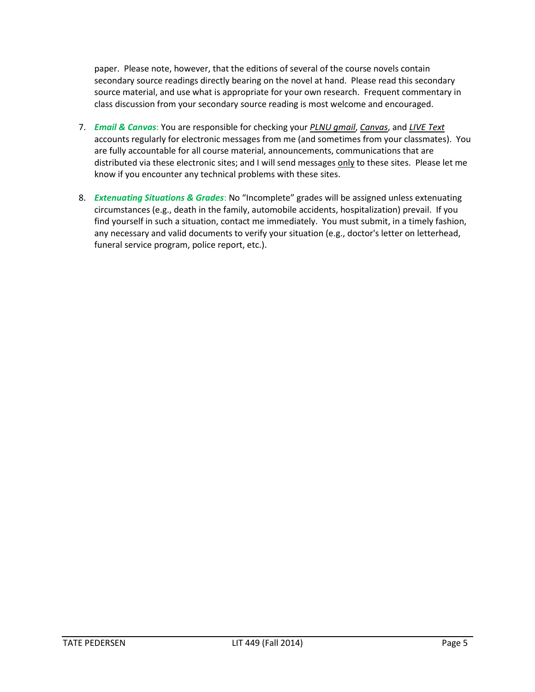paper. Please note, however, that the editions of several of the course novels contain secondary source readings directly bearing on the novel at hand. Please read this secondary source material, and use what is appropriate for your own research. Frequent commentary in class discussion from your secondary source reading is most welcome and encouraged.

- 7. *Email & Canvas*: You are responsible for checking your *PLNU gmail*, *Canvas*, and *LIVE Text* accounts regularly for electronic messages from me (and sometimes from your classmates). You are fully accountable for all course material, announcements, communications that are distributed via these electronic sites; and I will send messages only to these sites. Please let me know if you encounter any technical problems with these sites.
- 8. *Extenuating Situations & Grades*: No "Incomplete" grades will be assigned unless extenuating circumstances (e.g., death in the family, automobile accidents, hospitalization) prevail. If you find yourself in such a situation, contact me immediately. You must submit, in a timely fashion, any necessary and valid documents to verify your situation (e.g., doctor's letter on letterhead, funeral service program, police report, etc.).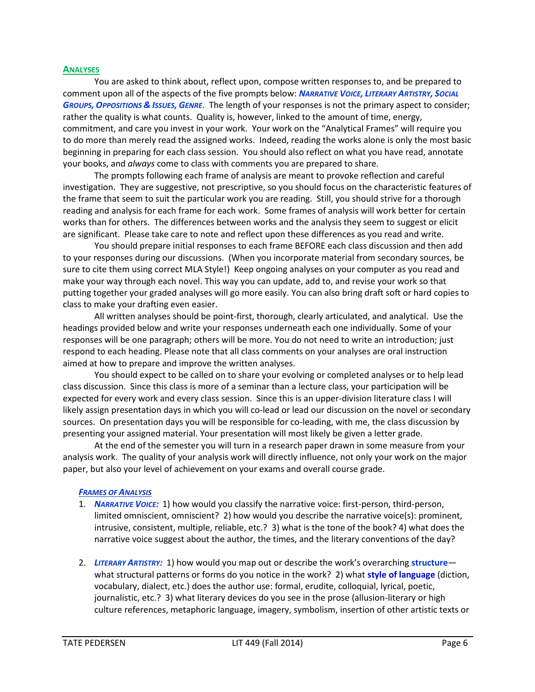#### **ANALYSES**

You are asked to think about, reflect upon, compose written responses to, and be prepared to comment upon all of the aspects of the five prompts below: *NARRATIVE VOICE, LITERARY ARTISTRY, SOCIAL GROUPS, OPPOSITIONS & ISSUES, GENRE*. The length of your responses is not the primary aspect to consider; rather the quality is what counts. Quality is, however, linked to the amount of time, energy, commitment, and care you invest in your work. Your work on the "Analytical Frames" will require you to do more than merely read the assigned works. Indeed, reading the works alone is only the most basic beginning in preparing for each class session. You should also reflect on what you have read, annotate your books, and *always* come to class with comments you are prepared to share.

The prompts following each frame of analysis are meant to provoke reflection and careful investigation. They are suggestive, not prescriptive, so you should focus on the characteristic features of the frame that seem to suit the particular work you are reading. Still, you should strive for a thorough reading and analysis for each frame for each work. Some frames of analysis will work better for certain works than for others. The differences between works and the analysis they seem to suggest or elicit are significant. Please take care to note and reflect upon these differences as you read and write.

You should prepare initial responses to each frame BEFORE each class discussion and then add to your responses during our discussions. (When you incorporate material from secondary sources, be sure to cite them using correct MLA Style!) Keep ongoing analyses on your computer as you read and make your way through each novel. This way you can update, add to, and revise your work so that putting together your graded analyses will go more easily. You can also bring draft soft or hard copies to class to make your drafting even easier.

All written analyses should be point-first, thorough, clearly articulated, and analytical. Use the headings provided below and write your responses underneath each one individually. Some of your responses will be one paragraph; others will be more. You do not need to write an introduction; just respond to each heading. Please note that all class comments on your analyses are oral instruction aimed at how to prepare and improve the written analyses.

You should expect to be called on to share your evolving or completed analyses or to help lead class discussion. Since this class is more of a seminar than a lecture class, your participation will be expected for every work and every class session. Since this is an upper-division literature class I will likely assign presentation days in which you will co-lead or lead our discussion on the novel or secondary sources. On presentation days you will be responsible for co-leading, with me, the class discussion by presenting your assigned material. Your presentation will most likely be given a letter grade.

At the end of the semester you will turn in a research paper drawn in some measure from your analysis work. The quality of your analysis work will directly influence, not only your work on the major paper, but also your level of achievement on your exams and overall course grade.

## *FRAMES OF ANALYSIS*

- 1. *NARRATIVE VOICE:* 1) how would you classify the narrative voice: first-person, third-person, limited omniscient, omniscient? 2) how would you describe the narrative voice(s): prominent, intrusive, consistent, multiple, reliable, etc.? 3) what is the tone of the book? 4) what does the narrative voice suggest about the author, the times, and the literary conventions of the day?
- 2. *LITERARY ARTISTRY:* 1) how would you map out or describe the work's overarching **structure** what structural patterns or forms do you notice in the work? 2) what **style of language** (diction, vocabulary, dialect, etc.) does the author use: formal, erudite, colloquial, lyrical, poetic, journalistic, etc.? 3) what literary devices do you see in the prose (allusion-literary or high culture references, metaphoric language, imagery, symbolism, insertion of other artistic texts or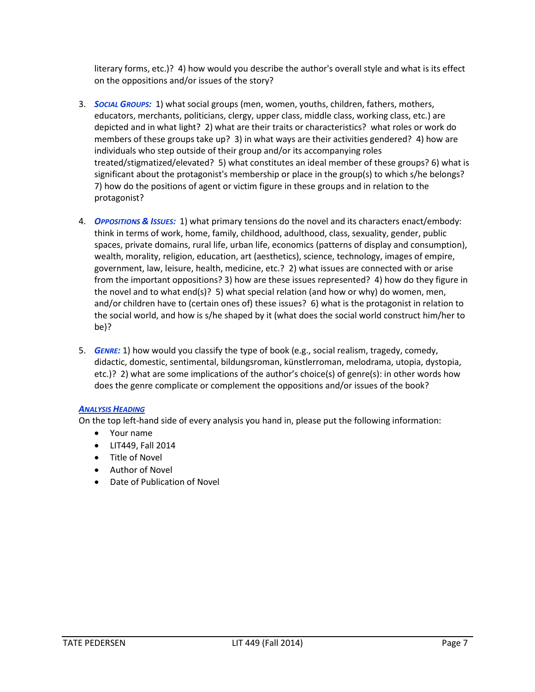literary forms, etc.)? 4) how would you describe the author's overall style and what is its effect on the oppositions and/or issues of the story?

- 3. *SOCIAL GROUPS:* 1) what social groups (men, women, youths, children, fathers, mothers, educators, merchants, politicians, clergy, upper class, middle class, working class, etc.) are depicted and in what light? 2) what are their traits or characteristics? what roles or work do members of these groups take up? 3) in what ways are their activities gendered? 4) how are individuals who step outside of their group and/or its accompanying roles treated/stigmatized/elevated? 5) what constitutes an ideal member of these groups? 6) what is significant about the protagonist's membership or place in the group(s) to which s/he belongs? 7) how do the positions of agent or victim figure in these groups and in relation to the protagonist?
- 4. *OPPOSITIONS & ISSUES:* 1) what primary tensions do the novel and its characters enact/embody: think in terms of work, home, family, childhood, adulthood, class, sexuality, gender, public spaces, private domains, rural life, urban life, economics (patterns of display and consumption), wealth, morality, religion, education, art (aesthetics), science, technology, images of empire, government, law, leisure, health, medicine, etc.? 2) what issues are connected with or arise from the important oppositions? 3) how are these issues represented? 4) how do they figure in the novel and to what end(s)? 5) what special relation (and how or why) do women, men, and/or children have to (certain ones of) these issues? 6) what is the protagonist in relation to the social world, and how is s/he shaped by it (what does the social world construct him/her to be)?
- 5. *GENRE:* 1) how would you classify the type of book (e.g., social realism, tragedy, comedy, didactic, domestic, sentimental, bildungsroman, künstlerroman, melodrama, utopia, dystopia, etc.)? 2) what are some implications of the author's choice(s) of genre(s): in other words how does the genre complicate or complement the oppositions and/or issues of the book?

# *ANALYSIS HEADING*

On the top left-hand side of every analysis you hand in, please put the following information:

- Your name
- LIT449, Fall 2014
- Title of Novel
- Author of Novel
- Date of Publication of Novel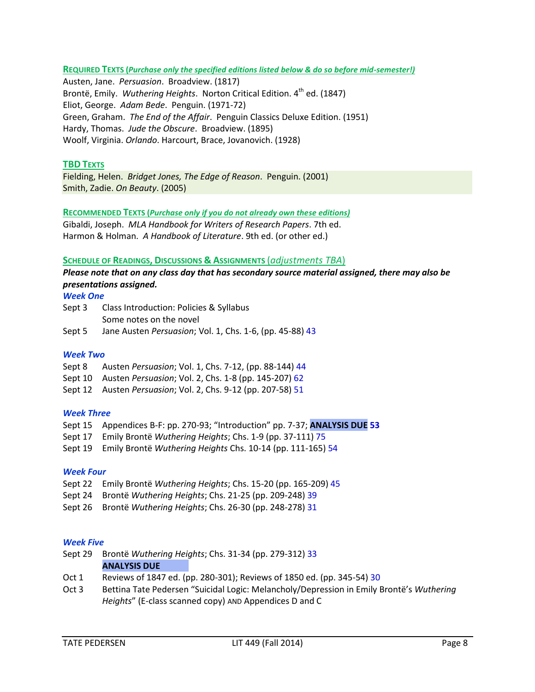**REQUIRED TEXTS (***Purchase only the specified editions listed below & do so before mid-semester!)*

Austen, Jane. *Persuasion*. Broadview. (1817) Brontë, Emily. *Wuthering Heights*. Norton Critical Edition. 4<sup>th</sup> ed. (1847) Eliot, George. *Adam Bede*. Penguin. (1971-72) Green, Graham. *The End of the Affair*. Penguin Classics Deluxe Edition. (1951) Hardy, Thomas. *Jude the Obscure*. Broadview. (1895) Woolf, Virginia. *Orlando*. Harcourt, Brace, Jovanovich. (1928)

## **TBD TEXTS**

Fielding, Helen. *Bridget Jones, The Edge of Reason*. Penguin. (2001) Smith, Zadie. *On Beauty*. (2005)

## **RECOMMENDED TEXTS (***Purchase only if you do not already own these editions)*

Gibaldi, Joseph. *MLA Handbook for Writers of Research Papers*. 7th ed. Harmon & Holman. *A Handbook of Literature*. 9th ed. (or other ed.)

#### **SCHEDULE OF READINGS, DISCUSSIONS & ASSIGNMENTS** (*adjustments TBA*)

*Please note that on any class day that has secondary source material assigned, there may also be presentations assigned.*

## *Week One*

| Sept 3 | Class Introduction: Policies & Syllabus |
|--------|-----------------------------------------|
|        | Some notes on the novel                 |
|        |                                         |

Sept 5 Jane Austen *Persuasion*; Vol. 1, Chs. 1-6, (pp. 45-88) 43

## *Week Two*

- Sept 8 Austen *Persuasion*; Vol. 1, Chs. 7-12, (pp. 88-144) 44
- Sept 10 Austen *Persuasion*; Vol. 2, Chs. 1-8 (pp. 145-207) 62
- Sept 12 Austen *Persuasion*; Vol. 2, Chs. 9-12 (pp. 207-58) 51

## *Week Three*

- Sept 15 Appendices B-F: pp. 270-93; "Introduction" pp. 7-37; **ANALYSIS DUE 53**
- Sept 17 Emily Brontë *Wuthering Heights*; Chs. 1-9 (pp. 37-111) 75
- Sept 19 Emily Brontë *Wuthering Heights* Chs. 10-14 (pp. 111-165) 54

#### *Week Four*

- Sept 22 Emily Brontë *Wuthering Heights*; Chs. 15-20 (pp. 165-209) 45
- Sept 24 Brontë *Wuthering Heights*; Chs. 21-25 (pp. 209-248) 39
- Sept 26 Brontë *Wuthering Heights*; Chs. 26-30 (pp. 248-278) 31

#### *Week Five*

- Sept 29 Brontë *Wuthering Heights*; Chs. 31-34 (pp. 279-312) 33 **ANALYSIS DUE**
- Oct 1 Reviews of 1847 ed. (pp. 280-301); Reviews of 1850 ed. (pp. 345-54) 30
- Oct 3 Bettina Tate Pedersen "Suicidal Logic: Melancholy/Depression in Emily Brontë's *Wuthering Heights*" (E-class scanned copy) AND Appendices D and C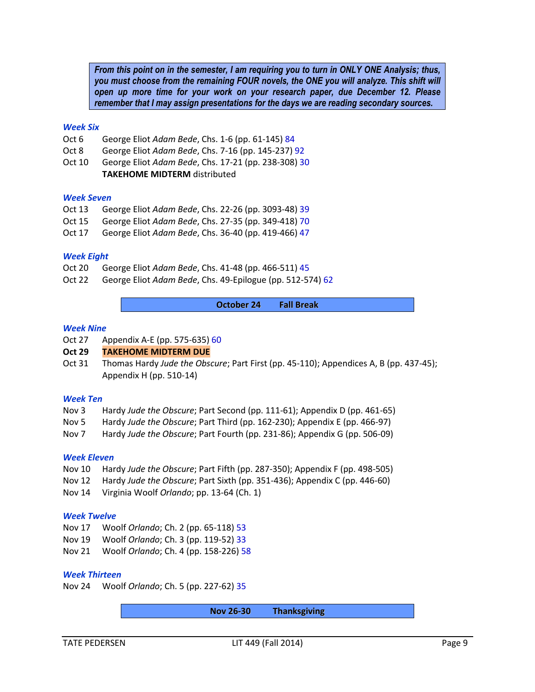*From this point on in the semester, I am requiring you to turn in ONLY ONE Analysis; thus, you must choose from the remaining FOUR novels, the ONE you will analyze. This shift will open up more time for your work on your research paper, due December 12. Please remember that I may assign presentations for the days we are reading secondary sources.*

#### *Week Six*

- Oct 6 George Eliot *Adam Bede*, Chs. 1-6 (pp. 61-145) 84
- Oct 8 George Eliot *Adam Bede*, Chs. 7-16 (pp. 145-237) 92
- Oct 10 George Eliot *Adam Bede*, Chs. 17-21 (pp. 238-308) 30 **TAKEHOME MIDTERM** distributed

#### *Week Seven*

- Oct 13 George Eliot *Adam Bede*, Chs. 22-26 (pp. 3093-48) 39
- Oct 15 George Eliot *Adam Bede*, Chs. 27-35 (pp. 349-418) 70
- Oct 17 George Eliot *Adam Bede*, Chs. 36-40 (pp. 419-466) 47

#### *Week Eight*

- Oct 20 George Eliot *Adam Bede*, Chs. 41-48 (pp. 466-511) 45
- Oct 22 George Eliot *Adam Bede*, Chs. 49-Epilogue (pp. 512-574) 62

**October 24 Fall Break**

#### *Week Nine*

Oct 27 Appendix A-E (pp. 575-635) 60

#### **Oct 29 TAKEHOME MIDTERM DUE**

Oct 31 Thomas Hardy *Jude the Obscure*; Part First (pp. 45-110); Appendices A, B (pp. 437-45); Appendix H (pp. 510-14)

#### *Week Ten*

- Nov 3 Hardy *Jude the Obscure*; Part Second (pp. 111-61); Appendix D (pp. 461-65)
- Nov 5 Hardy *Jude the Obscure*; Part Third (pp. 162-230); Appendix E (pp. 466-97)
- Nov 7 Hardy *Jude the Obscure*; Part Fourth (pp. 231-86); Appendix G (pp. 506-09)

#### *Week Eleven*

- Nov 10 Hardy *Jude the Obscure*; Part Fifth (pp. 287-350); Appendix F (pp. 498-505)
- Nov 12 Hardy *Jude the Obscure*; Part Sixth (pp. 351-436); Appendix C (pp. 446-60)
- Nov 14 Virginia Woolf *Orlando*; pp. 13-64 (Ch. 1)

#### *Week Twelve*

- Nov 17 Woolf *Orlando*; Ch. 2 (pp. 65-118) 53
- Nov 19 Woolf *Orlando*; Ch. 3 (pp. 119-52) 33
- Nov 21 Woolf *Orlando*; Ch. 4 (pp. 158-226) 58

#### *Week Thirteen*

Nov 24 Woolf *Orlando*; Ch. 5 (pp. 227-62) 35

**Nov 26-30 Thanksgiving**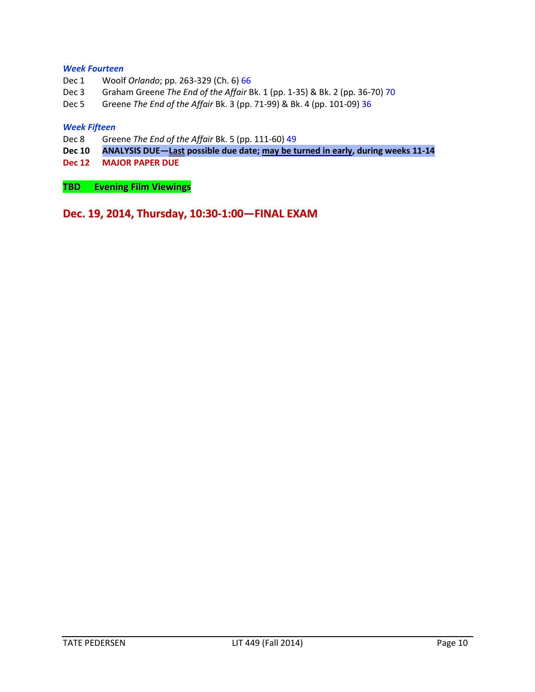## *Week Fourteen*

- Dec 1 Woolf *Orlando*; pp. 263-329 (Ch. 6) 66
- Dec 3 Graham Greene *The End of the Affair* Bk. 1 (pp. 1-35) & Bk. 2 (pp. 36-70) 70
- Dec 5 Greene *The End of the Affair* Bk. 3 (pp. 71-99) & Bk. 4 (pp. 101-09) 36

#### *Week Fifteen*

- Dec 8 Greene *The End of the Affair* Bk. 5 (pp. 111-60) 49
- **Dec 10 ANALYSIS DUE—Last possible due date; may be turned in early, during weeks 11-14**
- **Dec 12 MAJOR PAPER DUE**

**TBD Evening Film Viewings**

**Dec. 19, 2014, Thursday, 10:30-1:00—FINAL EXAM**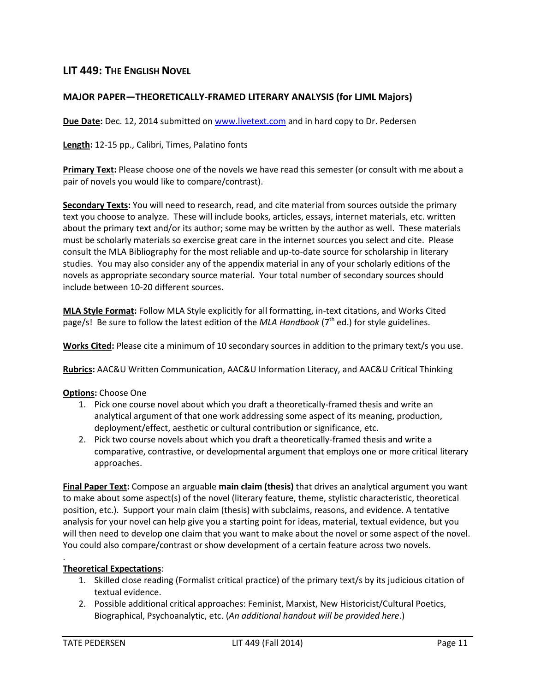# **LIT 449: THE ENGLISH NOVEL**

# **MAJOR PAPER—THEORETICALLY-FRAMED LITERARY ANALYSIS (for LJML Majors)**

**Due Date:** Dec. 12, 2014 submitted on [www.livetext.com](http://www.livetext.com/) and in hard copy to Dr. Pedersen

**Length:** 12-15 pp., Calibri, Times, Palatino fonts

**Primary Text:** Please choose one of the novels we have read this semester (or consult with me about a pair of novels you would like to compare/contrast).

**Secondary Texts:** You will need to research, read, and cite material from sources outside the primary text you choose to analyze. These will include books, articles, essays, internet materials, etc. written about the primary text and/or its author; some may be written by the author as well. These materials must be scholarly materials so exercise great care in the internet sources you select and cite. Please consult the MLA Bibliography for the most reliable and up-to-date source for scholarship in literary studies. You may also consider any of the appendix material in any of your scholarly editions of the novels as appropriate secondary source material. Your total number of secondary sources should include between 10-20 different sources.

**MLA Style Format:** Follow MLA Style explicitly for all formatting, in-text citations, and Works Cited page/s! Be sure to follow the latest edition of the *MLA Handbook* (7<sup>th</sup> ed.) for style guidelines.

**Works Cited:** Please cite a minimum of 10 secondary sources in addition to the primary text/s you use.

**Rubrics:** AAC&U Written Communication, AAC&U Information Literacy, and AAC&U Critical Thinking

## **Options:** Choose One

- 1. Pick one course novel about which you draft a theoretically-framed thesis and write an analytical argument of that one work addressing some aspect of its meaning, production, deployment/effect, aesthetic or cultural contribution or significance, etc.
- 2. Pick two course novels about which you draft a theoretically-framed thesis and write a comparative, contrastive, or developmental argument that employs one or more critical literary approaches.

**Final Paper Text:** Compose an arguable **main claim (thesis)** that drives an analytical argument you want to make about some aspect(s) of the novel (literary feature, theme, stylistic characteristic, theoretical position, etc.). Support your main claim (thesis) with subclaims, reasons, and evidence. A tentative analysis for your novel can help give you a starting point for ideas, material, textual evidence, but you will then need to develop one claim that you want to make about the novel or some aspect of the novel. You could also compare/contrast or show development of a certain feature across two novels.

# **Theoretical Expectations**:

- 1. Skilled close reading (Formalist critical practice) of the primary text/s by its judicious citation of textual evidence.
- 2. Possible additional critical approaches: Feminist, Marxist, New Historicist/Cultural Poetics, Biographical, Psychoanalytic, etc. (*An additional handout will be provided here*.)

.